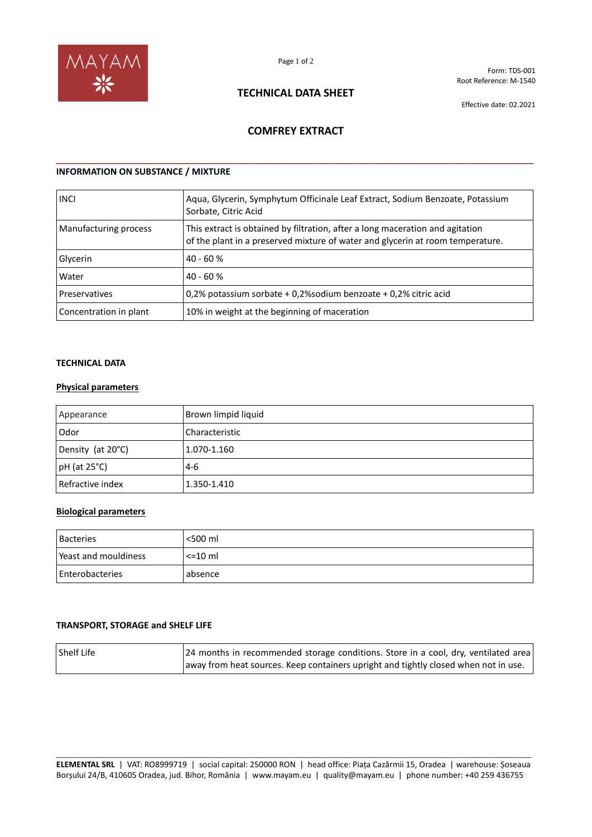

Form: TDS-001 Root Reference: M-1540

# **TECHNICAL DATA SHEET**

Effective date: 02.2021

# **COMFREY EXTRACT**

**\_\_\_\_\_\_\_\_\_\_\_\_\_\_\_\_\_\_\_\_\_\_\_\_\_\_\_\_\_\_\_\_\_\_\_\_\_\_\_\_\_\_\_\_\_\_\_\_\_\_\_\_\_\_\_\_\_\_\_\_\_\_\_\_\_\_\_\_\_\_\_\_\_\_\_\_\_\_\_\_**

# **INFORMATION ON SUBSTANCE / MIXTURE**

| <b>INCI</b>            | Aqua, Glycerin, Symphytum Officinale Leaf Extract, Sodium Benzoate, Potassium<br>Sorbate, Citric Acid                                                           |
|------------------------|-----------------------------------------------------------------------------------------------------------------------------------------------------------------|
| Manufacturing process  | This extract is obtained by filtration, after a long maceration and agitation<br>of the plant in a preserved mixture of water and glycerin at room temperature. |
| Glycerin               | $40 - 60%$                                                                                                                                                      |
| Water                  | $40 - 60%$                                                                                                                                                      |
| Preservatives          | 0.2% potassium sorbate + 0.2% sodium benzoate + 0.2% citric acid                                                                                                |
| Concentration in plant | 10% in weight at the beginning of maceration                                                                                                                    |

## **TECHNICAL DATA**

## **Physical parameters**

| Appearance         | Brown limpid liquid |
|--------------------|---------------------|
| Odor               | Characteristic      |
| Density (at 20°C)  | 1.070-1.160         |
| $pH$ (at 25 $°C$ ) | $-4-6$              |
| Refractive index   | 1.350-1.410         |

## **Biological parameters**

| <b>Bacteries</b>     | <500 ml      |
|----------------------|--------------|
| Peast and mouldiness | $\leq$ 10 ml |
| Enterobacteries      | absence      |

## **TRANSPORT, STORAGE and SHELF LIFE**

| <b>Shelf Life</b> | [24 months in recommended storage conditions. Store in a cool, dry, ventilated area] |
|-------------------|--------------------------------------------------------------------------------------|
|                   | away from heat sources. Keep containers upright and tightly closed when not in use.  |